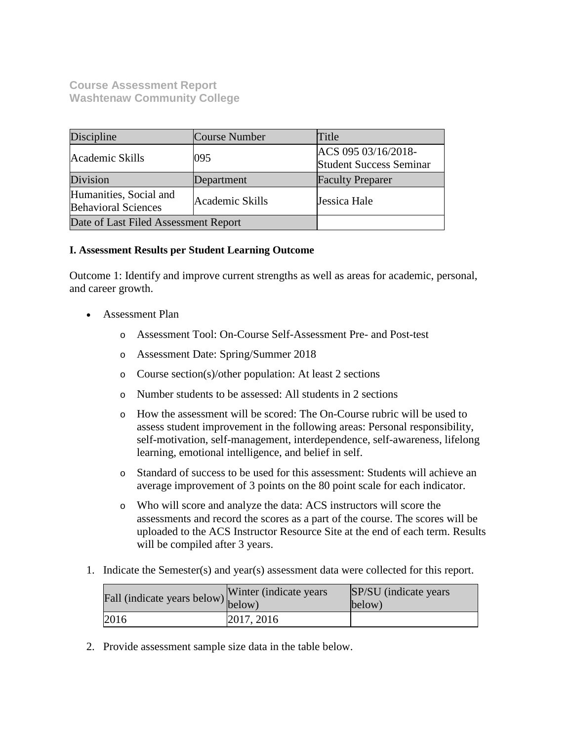### **Course Assessment Report Washtenaw Community College**

| Discipline                                                              | Course Number | Title                                                 |
|-------------------------------------------------------------------------|---------------|-------------------------------------------------------|
| Academic Skills                                                         | 095           | ACS 095 03/16/2018-<br><b>Student Success Seminar</b> |
| Division                                                                | Department    | <b>Faculty Preparer</b>                               |
| Humanities, Social and<br>Academic Skills<br><b>Behavioral Sciences</b> |               | Jessica Hale                                          |
| Date of Last Filed Assessment Report                                    |               |                                                       |

#### **I. Assessment Results per Student Learning Outcome**

Outcome 1: Identify and improve current strengths as well as areas for academic, personal, and career growth.

- Assessment Plan
	- o Assessment Tool: On-Course Self-Assessment Pre- and Post-test
	- o Assessment Date: Spring/Summer 2018
	- o Course section(s)/other population: At least 2 sections
	- o Number students to be assessed: All students in 2 sections
	- o How the assessment will be scored: The On-Course rubric will be used to assess student improvement in the following areas: Personal responsibility, self-motivation, self-management, interdependence, self-awareness, lifelong learning, emotional intelligence, and belief in self.
	- o Standard of success to be used for this assessment: Students will achieve an average improvement of 3 points on the 80 point scale for each indicator.
	- o Who will score and analyze the data: ACS instructors will score the assessments and record the scores as a part of the course. The scores will be uploaded to the ACS Instructor Resource Site at the end of each term. Results will be compiled after 3 years.
- 1. Indicate the Semester(s) and year(s) assessment data were collected for this report.

| Fall (indicate years below) below) | Winter (indicate years) | SP/SU (indicate years)<br>below) |
|------------------------------------|-------------------------|----------------------------------|
| 2016                               | 2017, 2016              |                                  |

2. Provide assessment sample size data in the table below.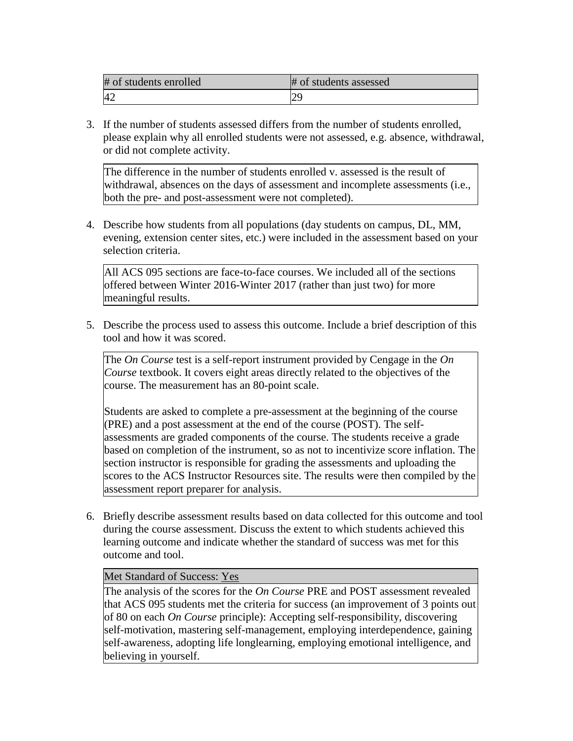| # of students enrolled | # of students assessed   |
|------------------------|--------------------------|
| $\Lambda^{\sigma}$     | $\overline{\phantom{a}}$ |

3. If the number of students assessed differs from the number of students enrolled, please explain why all enrolled students were not assessed, e.g. absence, withdrawal, or did not complete activity.

The difference in the number of students enrolled v. assessed is the result of withdrawal, absences on the days of assessment and incomplete assessments (i.e., both the pre- and post-assessment were not completed).

4. Describe how students from all populations (day students on campus, DL, MM, evening, extension center sites, etc.) were included in the assessment based on your selection criteria.

All ACS 095 sections are face-to-face courses. We included all of the sections offered between Winter 2016-Winter 2017 (rather than just two) for more meaningful results.

5. Describe the process used to assess this outcome. Include a brief description of this tool and how it was scored.

The *On Course* test is a self-report instrument provided by Cengage in the *On Course* textbook. It covers eight areas directly related to the objectives of the course. The measurement has an 80-point scale.

Students are asked to complete a pre-assessment at the beginning of the course (PRE) and a post assessment at the end of the course (POST). The selfassessments are graded components of the course. The students receive a grade based on completion of the instrument, so as not to incentivize score inflation. The section instructor is responsible for grading the assessments and uploading the scores to the ACS Instructor Resources site. The results were then compiled by the assessment report preparer for analysis.

6. Briefly describe assessment results based on data collected for this outcome and tool during the course assessment. Discuss the extent to which students achieved this learning outcome and indicate whether the standard of success was met for this outcome and tool.

#### Met Standard of Success: Yes

The analysis of the scores for the *On Course* PRE and POST assessment revealed that ACS 095 students met the criteria for success (an improvement of 3 points out of 80 on each *On Course* principle): Accepting self-responsibility, discovering self-motivation, mastering self-management, employing interdependence, gaining self-awareness, adopting life longlearning, employing emotional intelligence, and believing in yourself.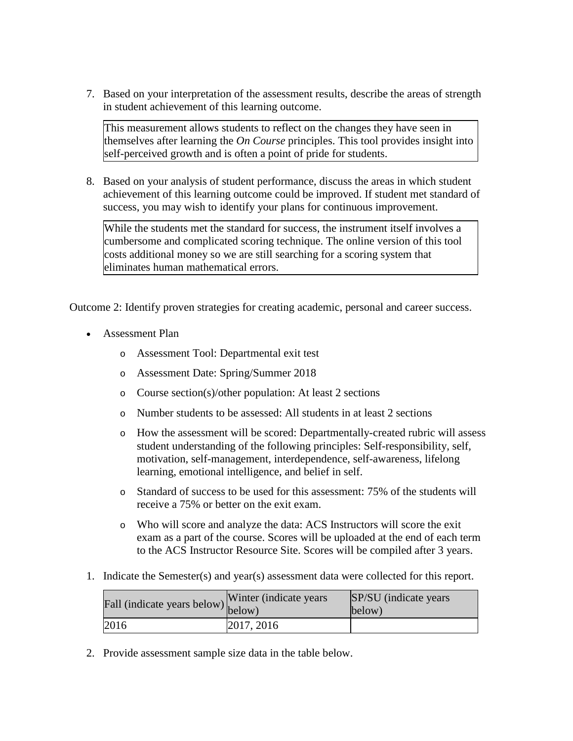7. Based on your interpretation of the assessment results, describe the areas of strength in student achievement of this learning outcome.

This measurement allows students to reflect on the changes they have seen in themselves after learning the *On Course* principles. This tool provides insight into self-perceived growth and is often a point of pride for students.

8. Based on your analysis of student performance, discuss the areas in which student achievement of this learning outcome could be improved. If student met standard of success, you may wish to identify your plans for continuous improvement.

While the students met the standard for success, the instrument itself involves a cumbersome and complicated scoring technique. The online version of this tool costs additional money so we are still searching for a scoring system that eliminates human mathematical errors.

Outcome 2: Identify proven strategies for creating academic, personal and career success.

- Assessment Plan
	- o Assessment Tool: Departmental exit test
	- o Assessment Date: Spring/Summer 2018
	- o Course section(s)/other population: At least 2 sections
	- o Number students to be assessed: All students in at least 2 sections
	- o How the assessment will be scored: Departmentally-created rubric will assess student understanding of the following principles: Self-responsibility, self, motivation, self-management, interdependence, self-awareness, lifelong learning, emotional intelligence, and belief in self.
	- o Standard of success to be used for this assessment: 75% of the students will receive a 75% or better on the exit exam.
	- o Who will score and analyze the data: ACS Instructors will score the exit exam as a part of the course. Scores will be uploaded at the end of each term to the ACS Instructor Resource Site. Scores will be compiled after 3 years.
- 1. Indicate the Semester(s) and year(s) assessment data were collected for this report.

| Fall (indicate years below) below) | Winter (indicate years) | SP/SU (indicate years)<br>below) |
|------------------------------------|-------------------------|----------------------------------|
| 2016                               | 2017, 2016              |                                  |

2. Provide assessment sample size data in the table below.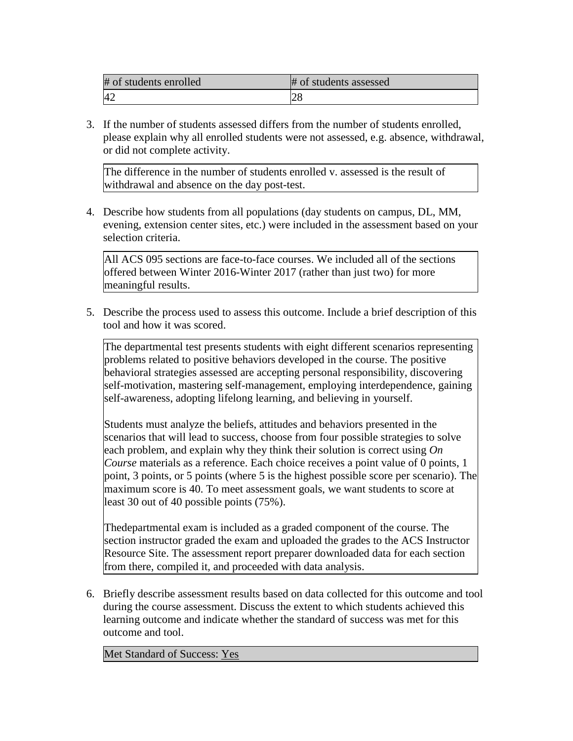| # of students enrolled | # of students assessed |
|------------------------|------------------------|
| $\Lambda^{\sigma}$     | 20                     |

3. If the number of students assessed differs from the number of students enrolled, please explain why all enrolled students were not assessed, e.g. absence, withdrawal, or did not complete activity.

The difference in the number of students enrolled v. assessed is the result of withdrawal and absence on the day post-test.

4. Describe how students from all populations (day students on campus, DL, MM, evening, extension center sites, etc.) were included in the assessment based on your selection criteria.

All ACS 095 sections are face-to-face courses. We included all of the sections offered between Winter 2016-Winter 2017 (rather than just two) for more meaningful results.

5. Describe the process used to assess this outcome. Include a brief description of this tool and how it was scored.

The departmental test presents students with eight different scenarios representing problems related to positive behaviors developed in the course. The positive behavioral strategies assessed are accepting personal responsibility, discovering self-motivation, mastering self-management, employing interdependence, gaining self-awareness, adopting lifelong learning, and believing in yourself.

Students must analyze the beliefs, attitudes and behaviors presented in the scenarios that will lead to success, choose from four possible strategies to solve each problem, and explain why they think their solution is correct using *On Course* materials as a reference. Each choice receives a point value of 0 points, 1 point, 3 points, or 5 points (where 5 is the highest possible score per scenario). The maximum score is 40. To meet assessment goals, we want students to score at least 30 out of 40 possible points (75%).

Thedepartmental exam is included as a graded component of the course. The section instructor graded the exam and uploaded the grades to the ACS Instructor Resource Site. The assessment report preparer downloaded data for each section from there, compiled it, and proceeded with data analysis.

6. Briefly describe assessment results based on data collected for this outcome and tool during the course assessment. Discuss the extent to which students achieved this learning outcome and indicate whether the standard of success was met for this outcome and tool.

Met Standard of Success: Yes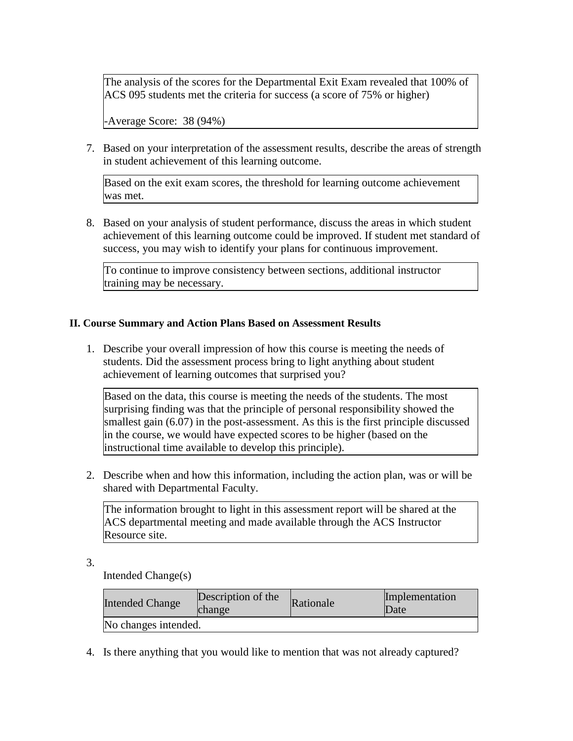The analysis of the scores for the Departmental Exit Exam revealed that 100% of ACS 095 students met the criteria for success (a score of 75% or higher)

-Average Score: 38 (94%)

7. Based on your interpretation of the assessment results, describe the areas of strength in student achievement of this learning outcome.

Based on the exit exam scores, the threshold for learning outcome achievement was met.

8. Based on your analysis of student performance, discuss the areas in which student achievement of this learning outcome could be improved. If student met standard of success, you may wish to identify your plans for continuous improvement.

To continue to improve consistency between sections, additional instructor training may be necessary.

#### **II. Course Summary and Action Plans Based on Assessment Results**

1. Describe your overall impression of how this course is meeting the needs of students. Did the assessment process bring to light anything about student achievement of learning outcomes that surprised you?

Based on the data, this course is meeting the needs of the students. The most surprising finding was that the principle of personal responsibility showed the smallest gain (6.07) in the post-assessment. As this is the first principle discussed in the course, we would have expected scores to be higher (based on the instructional time available to develop this principle).

2. Describe when and how this information, including the action plan, was or will be shared with Departmental Faculty.

The information brought to light in this assessment report will be shared at the ACS departmental meeting and made available through the ACS Instructor Resource site.

3.

Intended Change(s)

| <b>Intended Change</b> | Description of the<br>change | Rationale | Implementation<br>Date |
|------------------------|------------------------------|-----------|------------------------|
| No changes intended.   |                              |           |                        |

4. Is there anything that you would like to mention that was not already captured?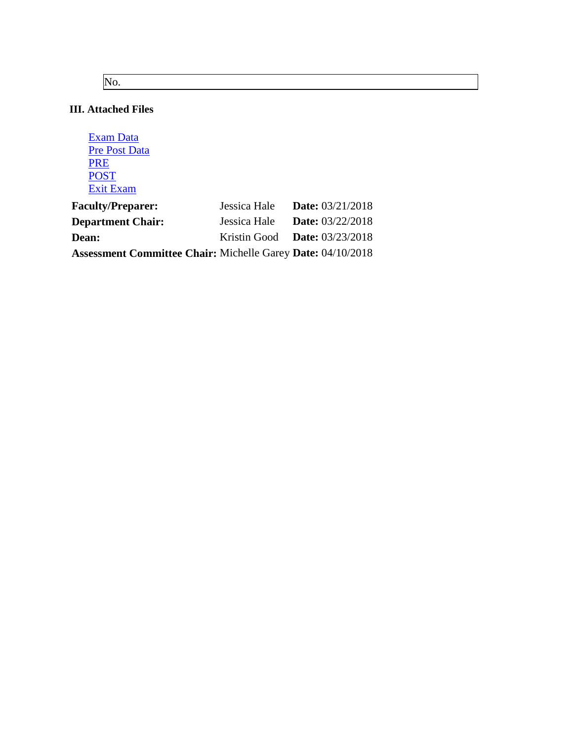No.

### **III. Attached Files**

| <b>Exam Data</b>     |
|----------------------|
| <b>Pre Post Data</b> |
| <b>PRE</b>           |
| <b>POST</b>          |
| Exit Exam            |

| <b>Faculty/Preparer:</b>                                           | Jessica Hale Date: $03/21/2018$        |  |  |
|--------------------------------------------------------------------|----------------------------------------|--|--|
| <b>Department Chair:</b>                                           | Jessica Hale <b>Date:</b> $03/22/2018$ |  |  |
| <b>Dean:</b>                                                       | Kristin Good Date: $03/23/2018$        |  |  |
| <b>Assessment Committee Chair: Michelle Garey Date: 04/10/2018</b> |                                        |  |  |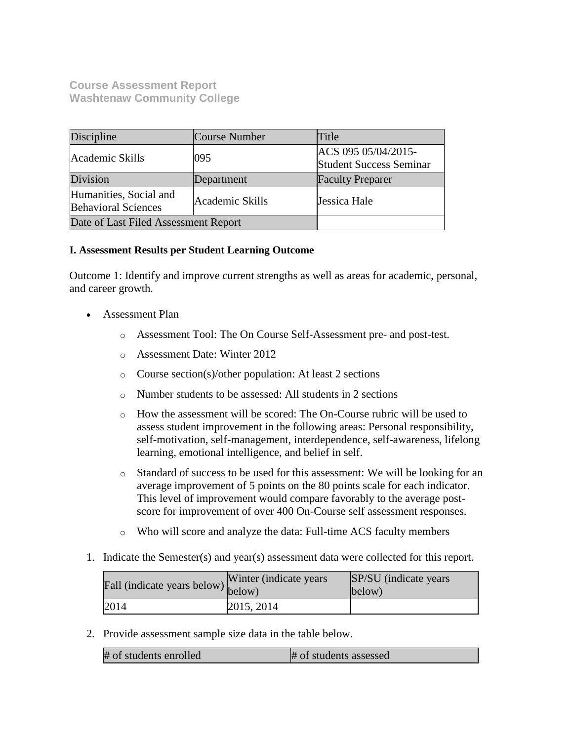**Course Assessment Report Washtenaw Community College**

| Discipline                                           | Course Number   | Title                                                 |
|------------------------------------------------------|-----------------|-------------------------------------------------------|
| Academic Skills                                      | 095             | ACS 095 05/04/2015-<br><b>Student Success Seminar</b> |
| Division                                             | Department      | <b>Faculty Preparer</b>                               |
| Humanities, Social and<br><b>Behavioral Sciences</b> | Academic Skills | Jessica Hale                                          |
| Date of Last Filed Assessment Report                 |                 |                                                       |

#### **I. Assessment Results per Student Learning Outcome**

Outcome 1: Identify and improve current strengths as well as areas for academic, personal, and career growth.

- Assessment Plan
	- o Assessment Tool: The On Course Self-Assessment pre- and post-test.
	- o Assessment Date: Winter 2012
	- o Course section(s)/other population: At least 2 sections
	- o Number students to be assessed: All students in 2 sections
	- o How the assessment will be scored: The On-Course rubric will be used to assess student improvement in the following areas: Personal responsibility, self-motivation, self-management, interdependence, self-awareness, lifelong learning, emotional intelligence, and belief in self.
	- o Standard of success to be used for this assessment: We will be looking for an average improvement of 5 points on the 80 points scale for each indicator. This level of improvement would compare favorably to the average postscore for improvement of over 400 On-Course self assessment responses.
	- o Who will score and analyze the data: Full-time ACS faculty members
- 1. Indicate the Semester(s) and year(s) assessment data were collected for this report.

| rall (indicate years below) below) | Winter (indicate years) | SP/SU (indicate years)<br>below) |
|------------------------------------|-------------------------|----------------------------------|
| 2014                               | 2015, 2014              |                                  |

2. Provide assessment sample size data in the table below.

| # of students enrolled | # of students assessed |
|------------------------|------------------------|
|------------------------|------------------------|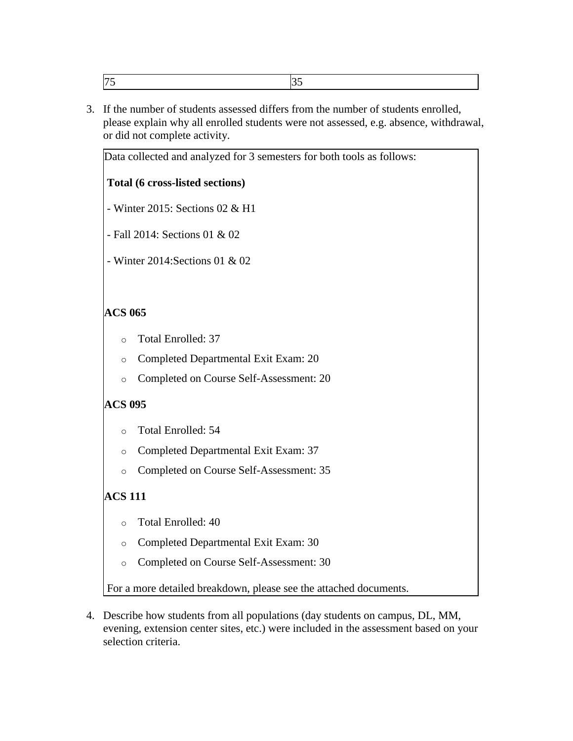| $\overline{\phantom{0}}$ |  |
|--------------------------|--|
|                          |  |

3. If the number of students assessed differs from the number of students enrolled, please explain why all enrolled students were not assessed, e.g. absence, withdrawal, or did not complete activity.

Data collected and analyzed for 3 semesters for both tools as follows:

#### **Total (6 cross-listed sections)**

- Winter 2015: Sections 02 & H1

- Fall 2014: Sections 01 & 02

- Winter 2014:Sections 01 & 02

#### **ACS 065**

- o Total Enrolled: 37
- o Completed Departmental Exit Exam: 20
- o Completed on Course Self-Assessment: 20

#### **ACS 095**

- o Total Enrolled: 54
- o Completed Departmental Exit Exam: 37
- o Completed on Course Self-Assessment: 35

## **ACS 111**

- o Total Enrolled: 40
- o Completed Departmental Exit Exam: 30
- o Completed on Course Self-Assessment: 30

For a more detailed breakdown, please see the attached documents.

4. Describe how students from all populations (day students on campus, DL, MM, evening, extension center sites, etc.) were included in the assessment based on your selection criteria.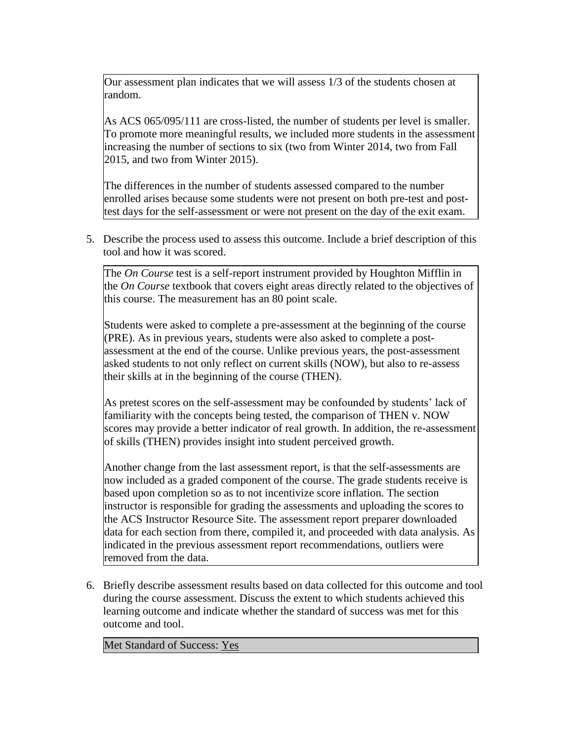Our assessment plan indicates that we will assess 1/3 of the students chosen at random.

As ACS 065/095/111 are cross-listed, the number of students per level is smaller. To promote more meaningful results, we included more students in the assessment increasing the number of sections to six (two from Winter 2014, two from Fall 2015, and two from Winter 2015).

The differences in the number of students assessed compared to the number enrolled arises because some students were not present on both pre-test and posttest days for the self-assessment or were not present on the day of the exit exam.

5. Describe the process used to assess this outcome. Include a brief description of this tool and how it was scored.

The *On Course* test is a self-report instrument provided by Houghton Mifflin in the *On Course* textbook that covers eight areas directly related to the objectives of this course. The measurement has an 80 point scale.

Students were asked to complete a pre-assessment at the beginning of the course (PRE). As in previous years, students were also asked to complete a postassessment at the end of the course. Unlike previous years, the post-assessment asked students to not only reflect on current skills (NOW), but also to re-assess their skills at in the beginning of the course (THEN).

As pretest scores on the self-assessment may be confounded by students' lack of familiarity with the concepts being tested, the comparison of THEN v. NOW scores may provide a better indicator of real growth. In addition, the re-assessment of skills (THEN) provides insight into student perceived growth.

Another change from the last assessment report, is that the self-assessments are now included as a graded component of the course. The grade students receive is based upon completion so as to not incentivize score inflation. The section instructor is responsible for grading the assessments and uploading the scores to the ACS Instructor Resource Site. The assessment report preparer downloaded data for each section from there, compiled it, and proceeded with data analysis. As indicated in the previous assessment report recommendations, outliers were removed from the data.

6. Briefly describe assessment results based on data collected for this outcome and tool during the course assessment. Discuss the extent to which students achieved this learning outcome and indicate whether the standard of success was met for this outcome and tool.

Met Standard of Success: Yes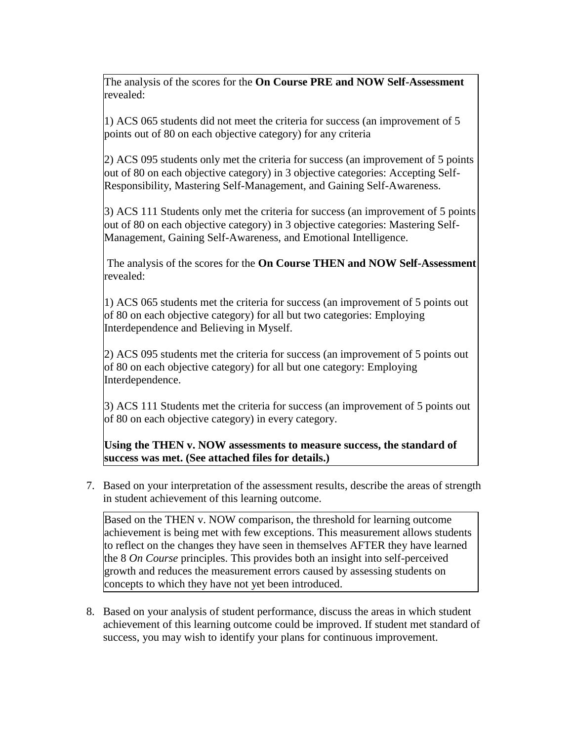The analysis of the scores for the **On Course PRE and NOW Self-Assessment** revealed:

1) ACS 065 students did not meet the criteria for success (an improvement of 5 points out of 80 on each objective category) for any criteria

2) ACS 095 students only met the criteria for success (an improvement of 5 points out of 80 on each objective category) in 3 objective categories: Accepting Self-Responsibility, Mastering Self-Management, and Gaining Self-Awareness.

3) ACS 111 Students only met the criteria for success (an improvement of 5 points out of 80 on each objective category) in 3 objective categories: Mastering Self-Management, Gaining Self-Awareness, and Emotional Intelligence.

The analysis of the scores for the **On Course THEN and NOW Self-Assessment** revealed:

1) ACS 065 students met the criteria for success (an improvement of 5 points out of 80 on each objective category) for all but two categories: Employing Interdependence and Believing in Myself.

2) ACS 095 students met the criteria for success (an improvement of 5 points out of 80 on each objective category) for all but one category: Employing Interdependence.

3) ACS 111 Students met the criteria for success (an improvement of 5 points out of 80 on each objective category) in every category.

**Using the THEN v. NOW assessments to measure success, the standard of success was met. (See attached files for details.)**

7. Based on your interpretation of the assessment results, describe the areas of strength in student achievement of this learning outcome.

Based on the THEN v. NOW comparison, the threshold for learning outcome achievement is being met with few exceptions. This measurement allows students to reflect on the changes they have seen in themselves AFTER they have learned the 8 *On Course* principles. This provides both an insight into self-perceived growth and reduces the measurement errors caused by assessing students on concepts to which they have not yet been introduced.

8. Based on your analysis of student performance, discuss the areas in which student achievement of this learning outcome could be improved. If student met standard of success, you may wish to identify your plans for continuous improvement.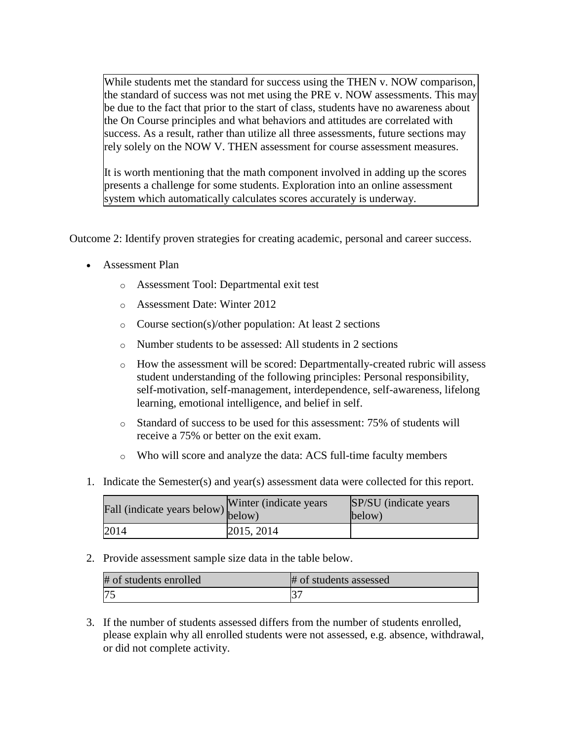While students met the standard for success using the THEN v. NOW comparison, the standard of success was not met using the PRE v. NOW assessments. This may be due to the fact that prior to the start of class, students have no awareness about the On Course principles and what behaviors and attitudes are correlated with success. As a result, rather than utilize all three assessments, future sections may rely solely on the NOW V. THEN assessment for course assessment measures.

It is worth mentioning that the math component involved in adding up the scores presents a challenge for some students. Exploration into an online assessment system which automatically calculates scores accurately is underway.

Outcome 2: Identify proven strategies for creating academic, personal and career success.

- Assessment Plan
	- o Assessment Tool: Departmental exit test
	- o Assessment Date: Winter 2012
	- o Course section(s)/other population: At least 2 sections
	- o Number students to be assessed: All students in 2 sections
	- o How the assessment will be scored: Departmentally-created rubric will assess student understanding of the following principles: Personal responsibility, self-motivation, self-management, interdependence, self-awareness, lifelong learning, emotional intelligence, and belief in self.
	- o Standard of success to be used for this assessment: 75% of students will receive a 75% or better on the exit exam.
	- o Who will score and analyze the data: ACS full-time faculty members
- 1. Indicate the Semester(s) and year(s) assessment data were collected for this report.

| Fall (indicate years below) below) | Winter (indicate years) | SP/SU (indicate years)<br>below) |
|------------------------------------|-------------------------|----------------------------------|
| 2014                               | 2015, 2014              |                                  |

2. Provide assessment sample size data in the table below.

| # of students enrolled | # of students assessed |
|------------------------|------------------------|
|                        |                        |

3. If the number of students assessed differs from the number of students enrolled, please explain why all enrolled students were not assessed, e.g. absence, withdrawal, or did not complete activity.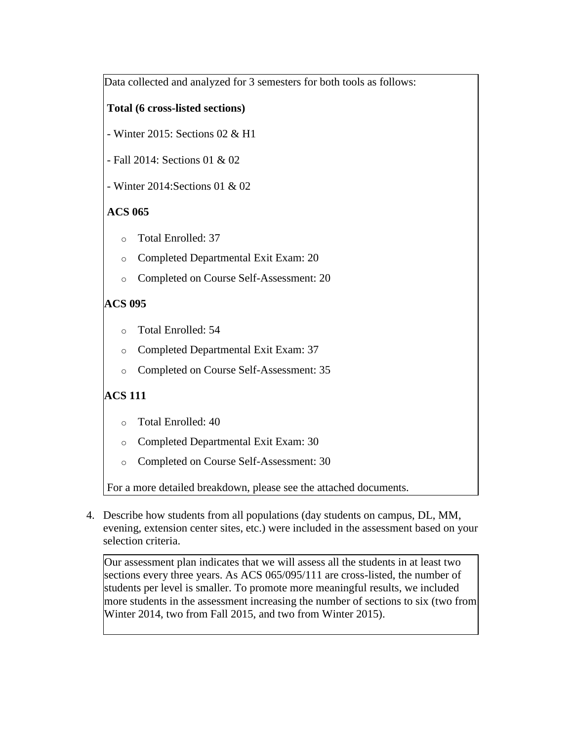Data collected and analyzed for 3 semesters for both tools as follows:

## **Total (6 cross-listed sections)**

- Winter 2015: Sections 02 & H1
- Fall 2014: Sections 01 & 02
- Winter 2014:Sections 01 & 02

## **ACS 065**

- o Total Enrolled: 37
- o Completed Departmental Exit Exam: 20
- o Completed on Course Self-Assessment: 20

## **ACS 095**

- o Total Enrolled: 54
- o Completed Departmental Exit Exam: 37
- o Completed on Course Self-Assessment: 35

## **ACS 111**

- o Total Enrolled: 40
- o Completed Departmental Exit Exam: 30
- o Completed on Course Self-Assessment: 30

For a more detailed breakdown, please see the attached documents.

4. Describe how students from all populations (day students on campus, DL, MM, evening, extension center sites, etc.) were included in the assessment based on your selection criteria.

Our assessment plan indicates that we will assess all the students in at least two sections every three years. As ACS 065/095/111 are cross-listed, the number of students per level is smaller. To promote more meaningful results, we included more students in the assessment increasing the number of sections to six (two from Winter 2014, two from Fall 2015, and two from Winter 2015).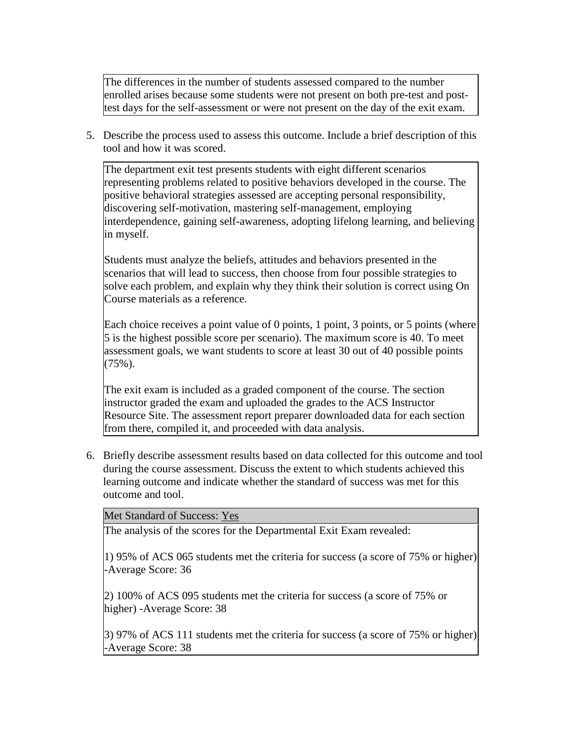The differences in the number of students assessed compared to the number enrolled arises because some students were not present on both pre-test and posttest days for the self-assessment or were not present on the day of the exit exam.

5. Describe the process used to assess this outcome. Include a brief description of this tool and how it was scored.

The department exit test presents students with eight different scenarios representing problems related to positive behaviors developed in the course. The positive behavioral strategies assessed are accepting personal responsibility, discovering self-motivation, mastering self-management, employing interdependence, gaining self-awareness, adopting lifelong learning, and believing in myself.

Students must analyze the beliefs, attitudes and behaviors presented in the scenarios that will lead to success, then choose from four possible strategies to solve each problem, and explain why they think their solution is correct using On Course materials as a reference.

Each choice receives a point value of 0 points, 1 point, 3 points, or 5 points (where 5 is the highest possible score per scenario). The maximum score is 40. To meet assessment goals, we want students to score at least 30 out of 40 possible points (75%).

The exit exam is included as a graded component of the course. The section instructor graded the exam and uploaded the grades to the ACS Instructor Resource Site. The assessment report preparer downloaded data for each section from there, compiled it, and proceeded with data analysis.

6. Briefly describe assessment results based on data collected for this outcome and tool during the course assessment. Discuss the extent to which students achieved this learning outcome and indicate whether the standard of success was met for this outcome and tool.

Met Standard of Success: Yes

The analysis of the scores for the Departmental Exit Exam revealed:

1) 95% of ACS 065 students met the criteria for success (a score of 75% or higher) -Average Score: 36

2) 100% of ACS 095 students met the criteria for success (a score of 75% or higher) -Average Score: 38

3) 97% of ACS 111 students met the criteria for success (a score of 75% or higher) -Average Score: 38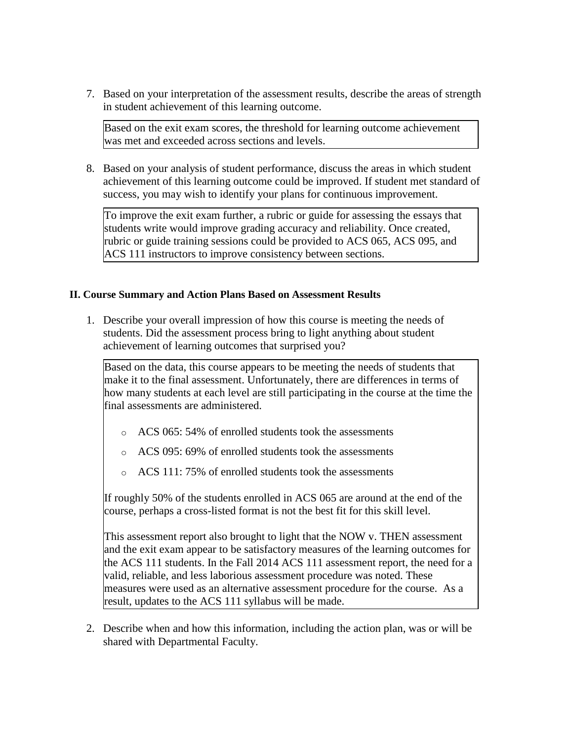7. Based on your interpretation of the assessment results, describe the areas of strength in student achievement of this learning outcome.

Based on the exit exam scores, the threshold for learning outcome achievement was met and exceeded across sections and levels.

8. Based on your analysis of student performance, discuss the areas in which student achievement of this learning outcome could be improved. If student met standard of success, you may wish to identify your plans for continuous improvement.

To improve the exit exam further, a rubric or guide for assessing the essays that students write would improve grading accuracy and reliability. Once created, rubric or guide training sessions could be provided to ACS 065, ACS 095, and ACS 111 instructors to improve consistency between sections.

#### **II. Course Summary and Action Plans Based on Assessment Results**

1. Describe your overall impression of how this course is meeting the needs of students. Did the assessment process bring to light anything about student achievement of learning outcomes that surprised you?

Based on the data, this course appears to be meeting the needs of students that make it to the final assessment. Unfortunately, there are differences in terms of how many students at each level are still participating in the course at the time the final assessments are administered.

- o ACS 065: 54% of enrolled students took the assessments
- o ACS 095: 69% of enrolled students took the assessments
- o ACS 111: 75% of enrolled students took the assessments

If roughly 50% of the students enrolled in ACS 065 are around at the end of the course, perhaps a cross-listed format is not the best fit for this skill level.

This assessment report also brought to light that the NOW v. THEN assessment and the exit exam appear to be satisfactory measures of the learning outcomes for the ACS 111 students. In the Fall 2014 ACS 111 assessment report, the need for a valid, reliable, and less laborious assessment procedure was noted. These measures were used as an alternative assessment procedure for the course. As a result, updates to the ACS 111 syllabus will be made.

2. Describe when and how this information, including the action plan, was or will be shared with Departmental Faculty.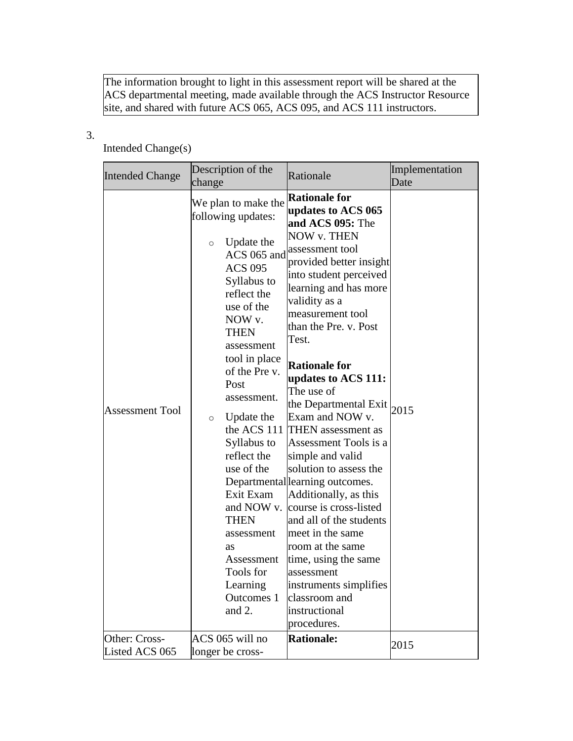The information brought to light in this assessment report will be shared at the ACS departmental meeting, made available through the ACS Instructor Resource site, and shared with future ACS 065, ACS 095, and ACS 111 instructors.

## 3.

## Intended Change(s)

|                                                  | Description of the<br>change                                                                                                                                                                                                                                                                                                                                   | Rationale                                                                                                                                                                                                                                                                                                                                                                                                                                                                                                                                                                                                               | Implementation<br>Date |
|--------------------------------------------------|----------------------------------------------------------------------------------------------------------------------------------------------------------------------------------------------------------------------------------------------------------------------------------------------------------------------------------------------------------------|-------------------------------------------------------------------------------------------------------------------------------------------------------------------------------------------------------------------------------------------------------------------------------------------------------------------------------------------------------------------------------------------------------------------------------------------------------------------------------------------------------------------------------------------------------------------------------------------------------------------------|------------------------|
| <b>Intended Change</b><br><b>Assessment Tool</b> | We plan to make the<br>following updates:<br>Update the<br>$\circ$<br>ACS 065 and<br><b>ACS 095</b><br>Syllabus to<br>reflect the<br>use of the<br>NOW v.<br><b>THEN</b><br>assessment<br>tool in place<br>of the Pre v.<br>Post<br>assessment.<br>Update the<br>$\circ$<br>Syllabus to<br>reflect the<br>use of the<br>Exit Exam<br><b>THEN</b><br>assessment | <b>Rationale for</b><br>updates to ACS 065<br>and ACS 095: The<br>NOW v. THEN<br>assessment tool<br>provided better insight<br>into student perceived<br>learning and has more<br>validity as a<br>measurement tool<br>than the Pre. v. Post<br>Test.<br><b>Rationale for</b><br>updates to ACS 111:<br>The use of<br>the Departmental Exit<br>Exam and NOW v.<br>the ACS 111 THEN assessment as<br>Assessment Tools is a<br>simple and valid<br>solution to assess the<br>Departmental learning outcomes.<br>Additionally, as this<br>and NOW v. course is cross-listed<br>and all of the students<br>meet in the same | 2015                   |
|                                                  | as<br>Assessment<br>Tools for<br>Learning<br>Outcomes 1<br>and 2.                                                                                                                                                                                                                                                                                              | room at the same<br>time, using the same<br>assessment                                                                                                                                                                                                                                                                                                                                                                                                                                                                                                                                                                  |                        |
|                                                  |                                                                                                                                                                                                                                                                                                                                                                | instruments simplifies<br>classroom and<br>instructional<br>procedures.                                                                                                                                                                                                                                                                                                                                                                                                                                                                                                                                                 |                        |
| Other: Cross-<br>Listed ACS 065                  | ACS 065 will no<br>longer be cross-                                                                                                                                                                                                                                                                                                                            | <b>Rationale:</b>                                                                                                                                                                                                                                                                                                                                                                                                                                                                                                                                                                                                       | 2015                   |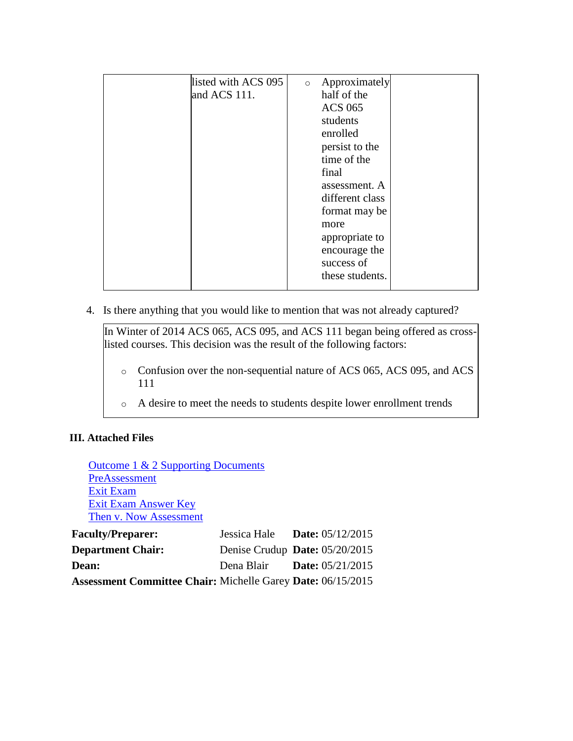| listed with ACS 095 | Approximately<br>$\circ$ |
|---------------------|--------------------------|
| and ACS 111.        | half of the              |
|                     | <b>ACS 065</b>           |
|                     | students                 |
|                     | enrolled                 |
|                     | persist to the           |
|                     | time of the              |
|                     | final                    |
|                     | assessment. A            |
|                     | different class          |
|                     | format may be            |
|                     | more                     |
|                     | appropriate to           |
|                     | encourage the            |
|                     | success of               |
|                     | these students.          |
|                     |                          |

4. Is there anything that you would like to mention that was not already captured?

In Winter of 2014 ACS 065, ACS 095, and ACS 111 began being offered as crosslisted courses. This decision was the result of the following factors:

- o Confusion over the non-sequential nature of ACS 065, ACS 095, and ACS 111
- o A desire to meet the needs to students despite lower enrollment trends

#### **III. Attached Files**

[Outcome 1 & 2 Supporting Documents](documents/ACS065095111PostAssessmentAnalysisAttached05112015.xlsx) **[PreAssessment](documents/ACS065095111PreAssessment.pdf)** [Exit Exam](documents/Faculty-made%20assessment%20Student%20Form%20ACS%20065%20095%20111.doc) [Exit Exam Answer Key](documents/Faculty-made%20assessment_Answer_Key_Student_Form%20ACS%20065_095.doc) [Then v. Now Assessment](documents/ACS065095111ThenNowAssessment.pdf)

| <b>Faculty/Preparer:</b>                                           | Jessica Hale Date: $05/12/2015$  |                           |
|--------------------------------------------------------------------|----------------------------------|---------------------------|
| <b>Department Chair:</b>                                           | Denise Crudup Date: $05/20/2015$ |                           |
| Dean:                                                              | Dena Blair                       | <b>Date:</b> $05/21/2015$ |
| <b>Assessment Committee Chair: Michelle Garey Date: 06/15/2015</b> |                                  |                           |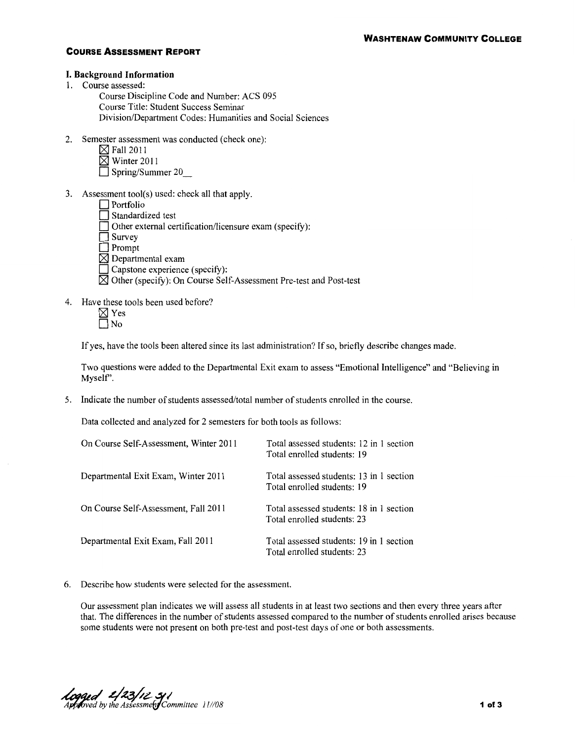#### **I. Background Information**

1. Course assessed:

Course Discipline Code and Number: ACS 095 Course Title: Student Success Seminar Division/Department Codes: Humanities and Social Sciences

- 2. Semester assessment was conducted (check one):
	- $\boxtimes$  Fall 2011
	- $\boxtimes$  Winter 2011
	- D Spring/Summer 20\_
- 3. Assessment tool(s) used: check all that apply.
	- $\Box$  Portfolio
	- $\Box$  Standardized test
	- $\Box$  Other external certification/licensure exam (specify):
	- $\Box$  Survey
	- $\Box$  Prompt
	- $\boxtimes$  Departmental exam
	- $\Box$  Capstone experience (specify):
	- $\boxtimes$  Other (specify): On Course Self-Assessment Pre-test and Post-test
- 4. Have these tools been used before?
	- $\boxtimes$  Yes  $\square$  No

If yes, have the tools been altered since its last administration? If so, briefly describe changes made.

Two questions were added to the Departmental Exit exam to assess "Emotional Intelligence" and "Believing in Myself'.

5. Indicate the number of students assessed/total number of students enrolled in the course.

Data collected and analyzed for 2 semesters for both tools as follows:

| On Course Self-Assessment, Winter 2011 | Total assessed students: 12 in 1 section<br>Total enrolled students: 19 |
|----------------------------------------|-------------------------------------------------------------------------|
| Departmental Exit Exam, Winter 2011    | Total assessed students: 13 in 1 section<br>Total enrolled students: 19 |
| On Course Self-Assessment, Fall 2011   | Total assessed students: 18 in 1 section<br>Total enrolled students: 23 |
| Departmental Exit Exam, Fall 2011      | Total assessed students: 19 in 1 section<br>Total enrolled students: 23 |

6. Describe how students were selected for the assessment.

Our assessment plan indicates we will assess all students in at least two sections and then every three years after that. The differences in the number of students assessed compared to the number of students enrolled arises because some students were not present on both pre-test and post-test days of one or both assessments.

 $k$ <br>Approved by the Assessment Committee  $11/108$  **1 of 3 1 of 3**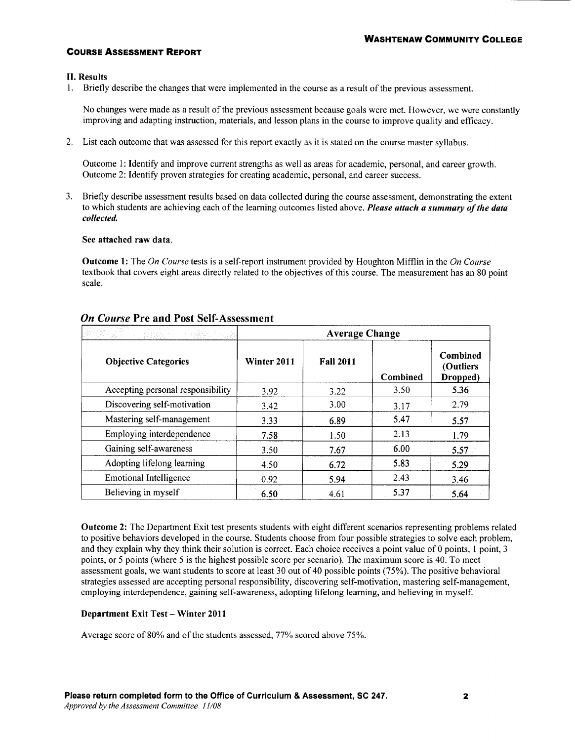#### II. Results

1. Briefly describe the changes that were implemented in the course as a result of the previous assessment.

No changes were made as a result of the previous assessment because goals were met. However, we were constantly improving and adapting instruction, materials, and lesson plans in the course to improve quality and efficacy.

2. List each outcome that was assessed for this report exactly as it is stated on the course master syllabus.

Outcome 1: Identify and improve current strengths as well as areas for academic, personal, and career growth. Outcome 2: Identify proven strategies for creating academic, personal, and career success.

3. Briefly describe assessment results based on data collected during the course assessment, demonstrating the extent to which students are achieving each of the learning outcomes listed above. *Please attach a summary of the data collected.* 

#### See attached raw data.

Outcome 1: The *On Course* tests is a self-report instrument provided by Houghton Mifflin in the *On Course*  textbook that covers eight areas directly related to the objectives of this course. The measurement has an 80 point scale.

|                                   | <b>Average Change</b> |                  |          |                                   |
|-----------------------------------|-----------------------|------------------|----------|-----------------------------------|
| <b>Objective Categories</b>       | Winter 2011           | <b>Fall 2011</b> | Combined | Combined<br>(Outliers<br>Dropped) |
| Accepting personal responsibility | 3.92                  | 3.22             | 3.50     | 5.36                              |
| Discovering self-motivation       | 3.42                  | 3.00             | 3.17     | 2.79                              |
| Mastering self-management         | 3.33                  | 6.89             | 5.47     | 5.57                              |
| Employing interdependence         | 7.58                  | 1.50             | 2.13     | 1.79                              |
| Gaining self-awareness            | 3.50                  | 7.67             | 6.00     | 5.57                              |
| Adopting lifelong learning        | 4.50                  | 6.72             | 5.83     | 5.29                              |
| <b>Emotional Intelligence</b>     | 0.92                  | 5.94             | 2.43     | 3.46                              |
| Believing in myself               | 6.50                  | 4.61             | 5.37     | 5.64                              |

#### *On Course* Pre and Post Self-Assessment

Outcome 2: The Department Exit test presents students with eight different scenarios representing problems related to positive behaviors developed in the course. Students choose from four possible strategies to solve each problem, and they explain why they think their solution is correct. Each choice receives a point value of 0 points, 1 point, 3 points, or 5 points (where 5 is the highest possible score per scenario). The maximum score is 40. To meet assessment goals, we want students to score at least 30 out of 40 possible points (75%). The positive behavioral strategies assessed are accepting personal responsibility, discovering self-motivation, mastering self-management, employing interdependence, gaining self-awareness, adopting lifelong learning, and believing in myself.

#### Department Exit Test- Winter 2011

Average score of 80% and of the students assessed, 77% scored above 75%.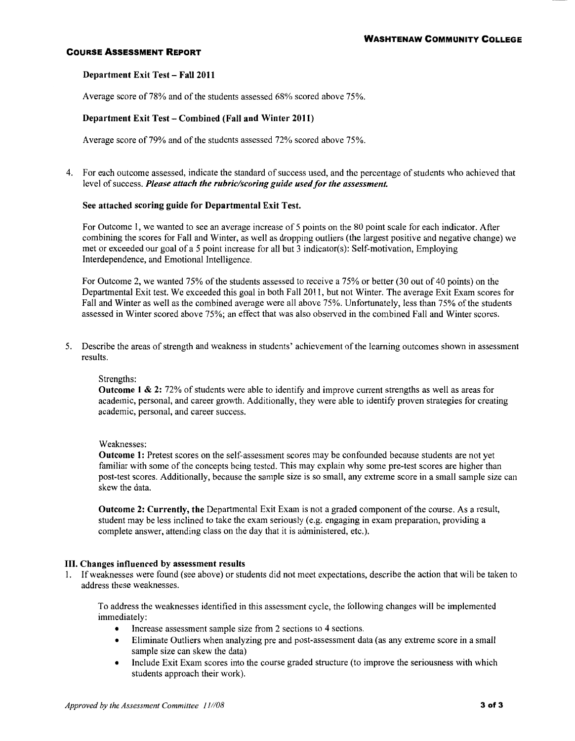#### Department Exit Test- Fall 2011

Average score of 78% and of the students assessed 68% scored above 75%.

#### Department Exit Test- Combined (Fall and Winter 2011)

Average score of 79% and of the students assessed 72% scored above 75%.

4. For each outcome assessed, indicate the standard of success used, and the percentage of students who achieved that level of success. *Please attach the rubric/scoring guide used for the assessment.* 

#### See attached scoring guide for Departmental Exit Test.

For Outcome 1, we wanted to see an average increase of 5 points on the 80 point scale for each indicator. After combining the scores for Fall and Winter, as well as dropping outliers (the largest positive and negative change) we met or exceeded our goal of a 5 point increase for all but 3 indicator(s): Self-motivation, Employing Interdependence, and Emotional Intelligence.

For Outcome 2, we wanted 75% of the students assessed to receive a 75% or better (30 out of 40 points) on the Departmental Exit test. We exceeded this goal in both Fall 2011, but not Winter. The average Exit Exam scores for Fall and Winter as well as the combined average were all above 75%. Unfortunately, less than 75% of the students assessed in Winter scored above 75%; an effect that was also observed in the combined Fall and Winter scores.

5. Describe the areas of strength and weakness in students' achievement of the learning outcomes shown in assessment results.

#### Strengths:

Outcome 1 & 2: 72% of students were able to identify and improve current strengths as well as areas for academic, personal, and career growth. Additionally, they were able to identify proven strategies for creating academic, personal, and career success.

#### Weaknesses:

Outcome 1: Pretest scores on the self-assessment scores may be confounded because students are not yet familiar with some of the concepts being tested. This may explain why some pre-test scores are higher than post-test scores. Additionally, because the sample size is so small, any extreme score in a small sample size can skew the data.

Outcome 2: Currently, the Departmental Exit Exam is not a graded component of the course. As a result, student may be less inclined to take the exam seriously (e.g. engaging in exam preparation, providing a complete answer, attending class on the day that it is administered, etc.).

#### III. Changes influenced by assessment results

1. Ifweaknesses were found (see above) or students did not meet expectations, describe the action that will be taken to address these weaknesses.

To address the weaknesses identified in this assessment cycle, the following changes will be implemented immediately:

- Increase assessment sample size from 2 sections to 4 sections.
- Eliminate Outliers when analyzing pre and post-assessment data (as any extreme score in a small sample size can skew the data)
- Include Exit Exam scores into the course graded structure (to improve the seriousness with which students approach their work).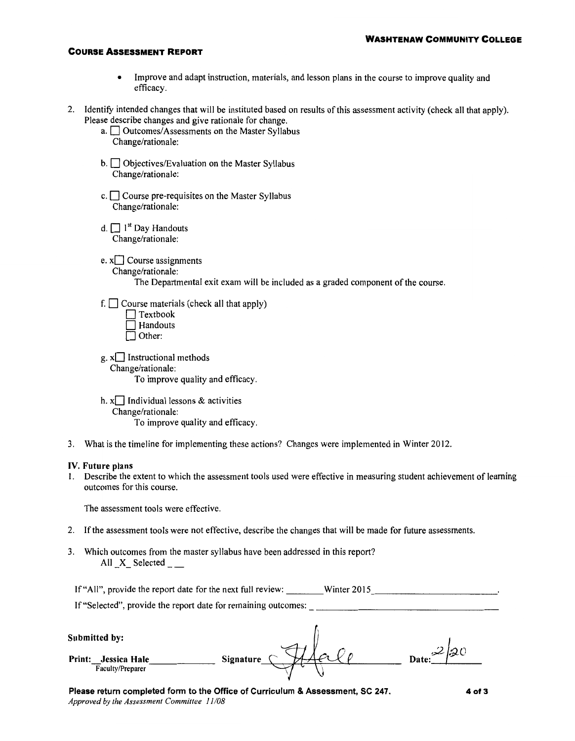- Improve and adapt instruction, materials, and lesson plans in the course to improve quality and efficacy.
- 2. Identity intended changes that will be instituted based on results of this assessment activity (check all that apply). Please describe changes and give rationale for change.
	- a.  $\Box$  Outcomes/Assessments on the Master Syllabus Change/rationale:
	- $b.$   $\Box$  Objectives/Evaluation on the Master Syllabus Change/rationale:
	- $c.$   $\Box$  Course pre-requisites on the Master Syllabus Change/rationale:
	- d.  $\Box$  1<sup>st</sup> Day Handouts Change/rationale:
	- e.  $x$  $\Box$  Course assignments Change/rationale: The Departmental exit exam will be included as a graded component of the course.
	- f.  $\Box$  Course materials (check all that apply)
		- $\Box$  Textbook  $\Box$  Handouts  $\overline{\Box}$  Other:
	- $g$ .  $x$  Instructional methods Change/rationale: To improve quality and efficacy.
	- h.  $x$ Individual lessons & activities Change/rationale: To improve quality and efficacy.
- 3. What is the timeline for implementing these actions? Changes were implemented in Winter 2012.

#### **IV. Future plans**

1. Describe the extent to which the assessment tools used were effective in measuring student achievement of learning outcomes for this course.

The assessment tools were effective.

- 2. If the assessment tools were not effective, describe the changes that will be made for future assessments.
- 3. Which outcomes from the master syllabus have been addressed in this report? All X Selected
	- If "All", provide the report date for the next full review: Winter 2015

|                                                                           | If "Selected", provide the report date for remaining outcomes: |            |
|---------------------------------------------------------------------------|----------------------------------------------------------------|------------|
| Submitted by:<br><b>Print:</b><br><b>Jessica Hale</b><br>Faculty/Preparer | Signature                                                      | Date: $20$ |
|                                                                           |                                                                |            |

**Please return completed form to the Office of Curriculum & Assessment, SC 247.**  *Approved by the Assessment Committee 11/08* 

**4of3**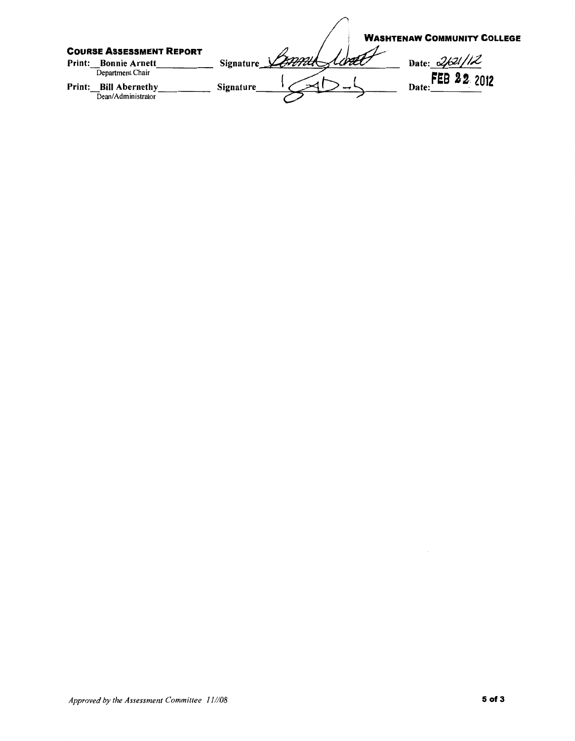**WASHTENAW COMMUNITY COLLEGE** COURSE ASSESSMENT REPORT Date: 2/021/12 Print: Bonnie Arnett Signature Control Albert Department Chair Date: FEB 22 2012 Print: Bill Abernethy Signature  $\overline{\bigcup_{\text{Dean}/\text{Administrator}}}$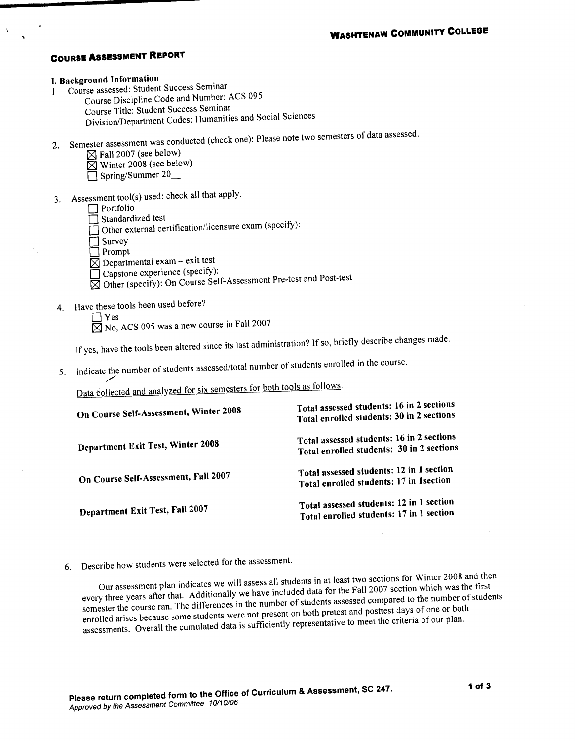## I. Background Information

- 1. Course assessed: Student Success Seminar
	- Course Discipline Code and Number: ACS 095 Course Title: Student Success Seminar
		- Division/Department Codes: Humanities and Social Sciences
- 2. Semester assessment was conducted (check one): Please note two semesters of data assessed.
	- $\boxtimes$  Fall 2007 (see below)
	- Winter 2008 (see below)
	- Spring/Summer 20
	-
- 3. Assessment tool(s) used: check all that apply.

#### $\Box$  Portfolio

- Standardized test
- Other external certification/licensure exam (specify):
- $\Box$  Survey
- $\Box$  Prompt
- $\overline{\boxtimes}$  Departmental exam exit test
- Capstone experience (specify):
- ⊠ Other (specify): On Course Self-Assessment Pre-test and Post-test
- 4. Have these tools been used before?
	- $\Box$  Yes

 $\overline{\boxtimes}$  No, ACS 095 was a new course in Fall 2007

If yes, have the tools been altered since its last administration? If so, briefly describe changes made.

5. Indicate the number of students assessed/total number of students enrolled in the course.

Data collected and analyzed for six semesters for both tools as follows:

| On Course Self-Assessment, Winter 2008   | Total assessed students: 16 in 2 sections<br>Total enrolled students: 30 in 2 sections |
|------------------------------------------|----------------------------------------------------------------------------------------|
| <b>Department Exit Test, Winter 2008</b> | Total assessed students: 16 in 2 sections<br>Total enrolled students: 30 in 2 sections |
| On Course Self-Assessment, Fall 2007     | Total assessed students: 12 in 1 section<br>Total enrolled students: 17 in 1 section   |
| Department Exit Test, Fall 2007          | Total assessed students: 12 in 1 section<br>Total enrolled students: 17 in 1 section   |

Describe how students were selected for the assessment.  $6.$ 

Our assessment plan indicates we will assess all students in at least two sections for Winter 2008 and then every three years after that. Additionally we have included data for the Fall 2007 section which was the first semester the course ran. The differences in the number of students assessed compared to the number of students enrolled arises because some students were not present on both pretest and posttest days of one or both assessments. Overall the cumulated data is sufficiently representative to meet the criteria of our plan.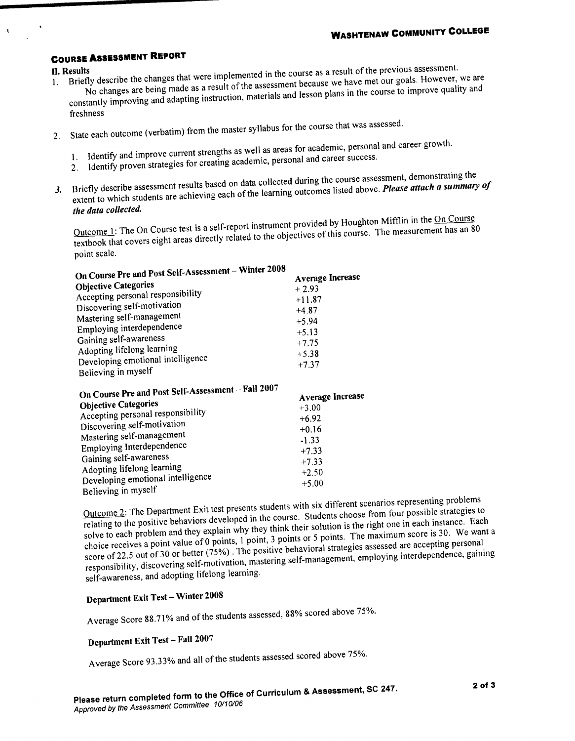#### **II. Results**

 $\mathbf{I}$ 

- Briefly describe the changes that were implemented in the course as a result of the previous assessment. No changes are being made as a result of the assessment because we have met our goals. However, we are  $1.$ constantly improving and adapting instruction, materials and lesson plans in the course to improve quality and
	- freshness
- 2. State each outcome (verbatim) from the master syllabus for the course that was assessed.
	- 1. Identify and improve current strengths as well as areas for academic, personal and career growth.
	- 2. Identify proven strategies for creating academic, personal and career success.
	-
- 3. Briefly describe assessment results based on data collected during the course assessment, demonstrating the extent to which students are achieving each of the learning outcomes listed above. Please attach a summary of the data collected.

Outcome 1: The On Course test is a self-report instrument provided by Houghton Mifflin in the On Course textbook that covers eight areas directly related to the objectives of this course. The measurement has an 80 point scale.

| On Course Pre and Post Self-Assessment – Winter 2008<br><b>Average Increase</b><br>$+2.93$                                                                            |
|-----------------------------------------------------------------------------------------------------------------------------------------------------------------------|
| $+11.87$<br>$+4.87$<br>$+5.94$<br>$+5.13$<br>$+7.75$<br>$+5.38$<br>$+7.37$                                                                                            |
| On Course Pre and Post Self-Assessment - Fall 2007<br><b>Average Increase</b><br>$+3.00$<br>$+6.92$<br>$+0.16$<br>$-1.33$<br>$+7.33$<br>$+7.33$<br>$+2.50$<br>$+5.00$ |
|                                                                                                                                                                       |

Outcome 2: The Department Exit test presents students with six different scenarios representing problems relating to the positive behaviors developed in the course. Students choose from four possible strategies to solve to each problem and they explain why they think their solution is the right one in each instance. Each choice receives a point value of 0 points, 1 point, 3 points or 5 points. The maximum score is 30. We want a score of 22.5 out of 30 or better (75%). The positive behavioral strategies assessed are accepting personal responsibility, discovering self-motivation, mastering self-management, employing interdependence, gaining self-awareness, and adopting lifelong learning.

## **Department Exit Test - Winter 2008**

Average Score 88.71% and of the students assessed, 88% scored above 75%.

## Department Exit Test - Fall 2007

Average Score 93.33% and all of the students assessed scored above 75%.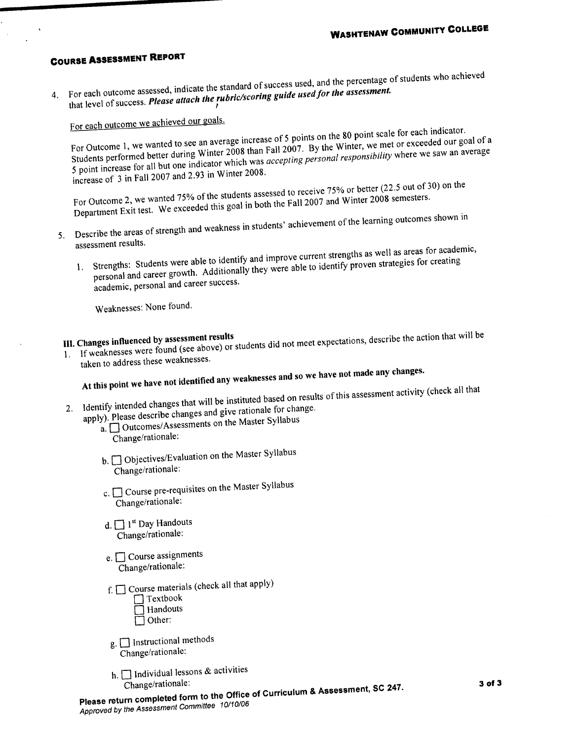4. For each outcome assessed, indicate the standard of success used, and the percentage of students who achieved that level of success. Please attach the rubric/scoring guide used for the assessment.

For each outcome we achieved our goals.

For Outcome 1, we wanted to see an average increase of 5 points on the 80 point scale for each indicator. Students performed better during Winter 2008 than Fall 2007. By the Winter, we met or exceeded our goal of a 5 point increase for all but one indicator which was *accepting personal responsibility* where we saw an average increase of 3 in Fall 2007 and 2.93 in Winter 2008.

For Outcome 2, we wanted 75% of the students assessed to receive 75% or better (22.5 out of 30) on the Department Exit test. We exceeded this goal in both the Fall 2007 and Winter 2008 semesters.

- 5. Describe the areas of strength and weakness in students' achievement of the learning outcomes shown in assessment results.
	- 1. Strengths: Students were able to identify and improve current strengths as well as areas for academic, personal and career growth. Additionally they were able to identify proven strategies for creating academic, personal and career success.

Weaknesses: None found.

1. If weaknesses were found (see above) or students did not meet expectations, describe the action that will be III. Changes influenced by assessment results

taken to address these weaknesses.

# At this point we have not identified any weaknesses and so we have not made any changes.

2. Identify intended changes that will be instituted based on results of this assessment activity (check all that

- - apply). Please describe changes and give rationale for change.  $\alpha$ .  $\Box$  Outcomes/Assessments on the Master Syllabus
		- Change/rationale:
		- b. Objectives/Evaluation on the Master Syllabus Change/rationale:
		- c. <u>Course</u> pre-requisites on the Master Syllabus Change/rationale:
		- d.  $\Box$  1<sup>st</sup> Day Handouts Change/rationale:
		- e.  $\Box$  Course assignments Change/rationale:
		- f.  $\Box$  Course materials (check all that apply)  $\Box$  Textbook Handouts  $\Box$  Other:
		- g.  $\Box$  Instructional methods Change/rationale:
		- h.  $\Box$  Individual lessons & activities Change/rationale:

Please return completed form to the Office of Curriculum & Assessment, SC 247.